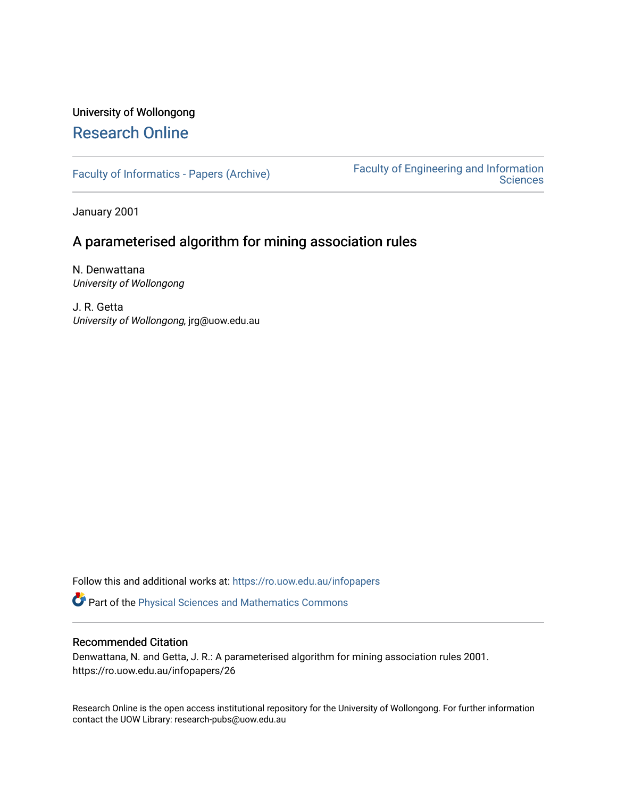# University of Wollongong [Research Online](https://ro.uow.edu.au/)

[Faculty of Informatics - Papers \(Archive\)](https://ro.uow.edu.au/infopapers) [Faculty of Engineering and Information](https://ro.uow.edu.au/eis)  **Sciences** 

January 2001

# A parameterised algorithm for mining association rules

N. Denwattana University of Wollongong

J. R. Getta University of Wollongong, jrg@uow.edu.au

Follow this and additional works at: [https://ro.uow.edu.au/infopapers](https://ro.uow.edu.au/infopapers?utm_source=ro.uow.edu.au%2Finfopapers%2F26&utm_medium=PDF&utm_campaign=PDFCoverPages)

Part of the [Physical Sciences and Mathematics Commons](http://network.bepress.com/hgg/discipline/114?utm_source=ro.uow.edu.au%2Finfopapers%2F26&utm_medium=PDF&utm_campaign=PDFCoverPages) 

## Recommended Citation

Denwattana, N. and Getta, J. R.: A parameterised algorithm for mining association rules 2001. https://ro.uow.edu.au/infopapers/26

Research Online is the open access institutional repository for the University of Wollongong. For further information contact the UOW Library: research-pubs@uow.edu.au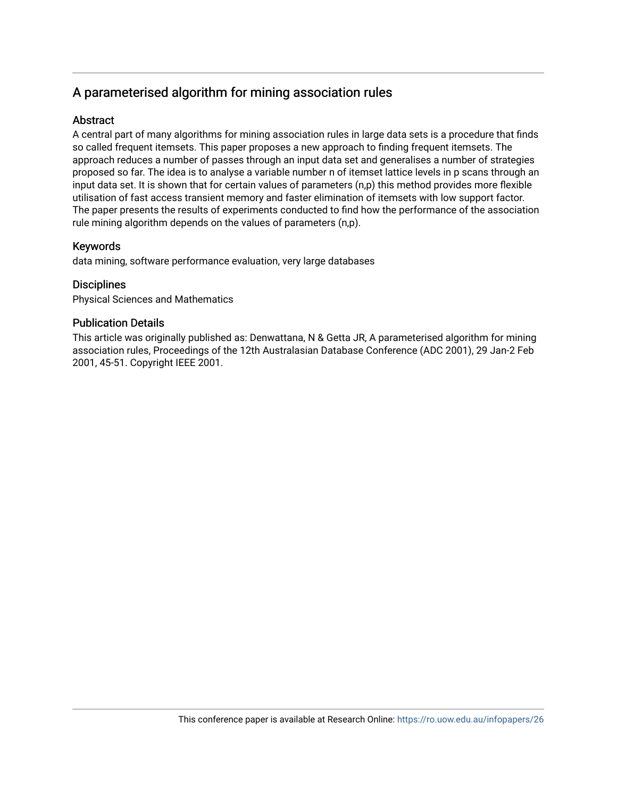# A parameterised algorithm for mining association rules

# **Abstract**

A central part of many algorithms for mining association rules in large data sets is a procedure that finds so called frequent itemsets. This paper proposes a new approach to finding frequent itemsets. The approach reduces a number of passes through an input data set and generalises a number of strategies proposed so far. The idea is to analyse a variable number n of itemset lattice levels in p scans through an input data set. It is shown that for certain values of parameters (n,p) this method provides more flexible utilisation of fast access transient memory and faster elimination of itemsets with low support factor. The paper presents the results of experiments conducted to find how the performance of the association rule mining algorithm depends on the values of parameters (n,p).

# Keywords

data mining, software performance evaluation, very large databases

## **Disciplines**

Physical Sciences and Mathematics

## Publication Details

This article was originally published as: Denwattana, N & Getta JR, A parameterised algorithm for mining association rules, Proceedings of the 12th Australasian Database Conference (ADC 2001), 29 Jan-2 Feb 2001, 45-51. Copyright IEEE 2001.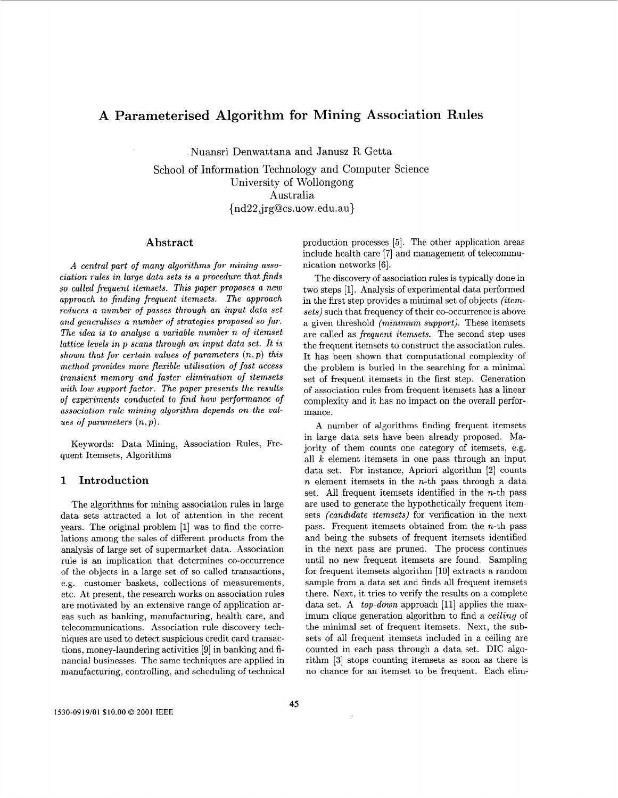## A Parameterised Algorithm for Mining Association Rules

Nuansri Denwattana and Janusz R Getta

School of Information Technology and Computer Science University of Wollongong Australia { nd22,jrg@cs.uow .edu.au}

### **Abstract**

*A central part* of *many algorithms for mining association rules in large data sets is a procedure that finds so called frequent itemsets. This paper proposes a new approach to finding frequent itemsets. The approach reduces a number of passes through an input data set and generalises a number* of *strategies proposed so far. The idea is to analyse a variable number n* of *itemset lattice levels in p scans through an input data set. It is shown that for certain values* of *parameters (n,p) this method provides more flexible utilisation* of *fast access transient memory and faster elimination of itemsets with low support factor. The paper presents the results*  of *experiments conducted to find how performance of association rule mining algorithm depends on the values* of *parameters (n,p).* 

Keywords: Data Mining, Association Rules, Frequent Itemsets, Algorithms

## **1 Introduction**

The algorithms for mining association rules in large data sets attracted a lot of attention in the recent years. The original problem [l] was to find the correlations among the sales of different products from the analysis of large set of supermarket data. Association rule is an implication that determines co-occurrence of the objects in a large set of so called transactions, e.g. customer baskets, collections of measurements, etc. At present, the research works on association rules are motivated by an extensive range of application areas such as banking, manufacturing, health care, and telecommunications. Association rule discovery techniques are used to detect suspicious credit card transactions, money-laundering activities [9] in banking and financial businesses. The same techniques are applied in manufacturing, controlling, and scheduling of technical production processes *[5].* The other application areas include health care [7] and management of telecommunication networks [6].

The discovery of association rules is typically done in two steps [l]. Analysis of experimental data performed in the first step provides a minimal set of objects *(itemsets)* such that frequency of their co-occurrence is above a given threshold *(minimum support).* These itemsets are called as *frequent itemsets.* The second step uses the frequent itemsets to construct the association rules. It has been shown that computational complexity of the problem is buried in the searching for a minimal set of frequent itemsets in the first step. Generation of association rules from frequent itemsets has a linear complexity and it has no impact on the overall performance.

A number of algorithms finding frequent itemsets in large data sets have been already proposed. Majority of them counts one category of itemsets, e.g. all  $k$  element itemsets in one pass through an input data set. For instance, Apriori algorithm **[2]** counts *n* element itemsets in the n-th pass through a data set. All frequent itemsets identified in the  $n$ -th pass are used to generate the hypothetically frequent itemsets *(candidate itemsets)* for verification in the next pass. Frequent itemsets obtained from the  $n$ -th pass and being the subsets of frequent itemsets identified in the next pass are pruned. The process continues until no new frequent itemsets are found. Sampling for frequent itemsets algorithm [10] extracts a random sample from a data set and finds all frequent itemsets there. Next, it tries to verify the results on a complete data set. **A** *top-down* approach [ll] applies the maximum clique generation algorithm to find a *ceiling* of the minimal set of frequent itemsets. Next, the subsets of all frequent itemsets included in a ceiling are counted in each pass through a data set. DIC algorithm **[3]** stops counting itemsets as soon as there is no chance for an itemset to be frequent. Each elim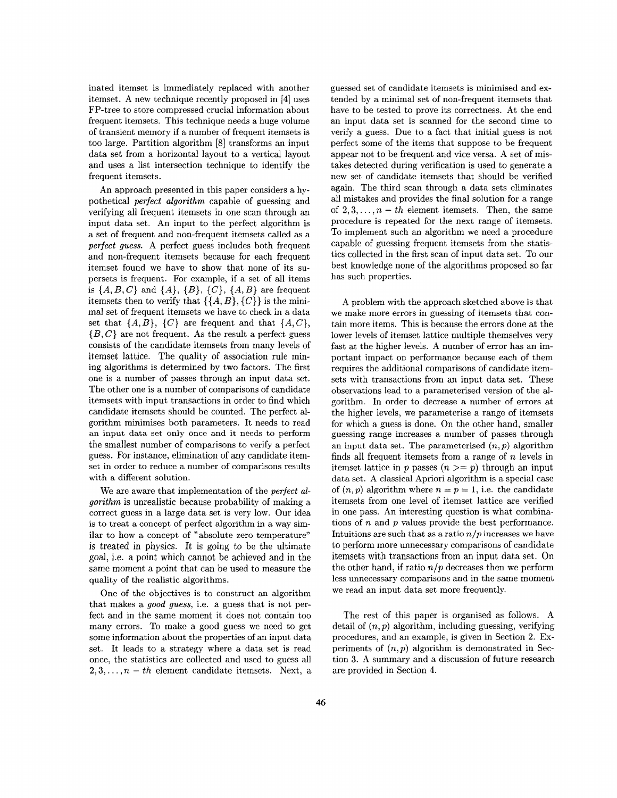inated itemset is immediately replaced with another itemset. A new technique recently proposed in [4] uses FP-tree to store compressed crucial information about frequent itemsets. This technique needs a huge volume of transient memory if a number of frequent itemsets is too large. Partition algorithm [8] transforms an input data set from a horizontal layout to a vertical layout and uses a list intersection technique to identify the frequent itemsets.

An approach presented in this paper considers a hypothetical *perfect algorithm* capable of guessing and verifying all frequent itemsets in one scan through an input data set. An input to the perfect algorithm is a set of frequent and non-frequent itemsets called as a *perfect guess.* A perfect guess includes both frequent and non-frequent itemsets because for each frequent itemset found we have to show that none of its supersets is frequent. For example, if a set of all items is  $\{A, B, C\}$  and  $\{A\}$ ,  $\{B\}$ ,  $\{C\}$ ,  $\{A, B\}$  are frequent itemsets then to verify that  $\{\{A, B\}, \{C\}\}\$ is the minimal set of frequent itemsets we have to check in a data set that  $\{A, B\}$ ,  $\{C\}$  are frequent and that  $\{A, C\}$ , *{B,* C} are not frequent. As the result a perfect guess consists of the candidate itemsets from many levels of itemset lattice. The quality of association rule mining algorithms is determined by two factors. The first one is a number of passes through an input data set. The other one is a number of comparisons of candidate itemsets with input transactions in order to find which candidate itemsets should be counted. The perfect algorithm minimises both parameters. It needs to read an input data set only once and it needs to perform the smallest number of comparisons to verify a perfect guess. For instance, elimination of any candidate itemset in order to reduce a number of comparisons results with a different solution.

We are aware that implementation of the *perfect algorithm* is unrealistic because probability of making a correct guess in a large data set is very low. Our idea is to treat a concept of perfect algorithm in a way similar to how a concept of "absolute zero temperature" is treated in physics. It is going to be the ultimate goal, i.e. a point which cannot be achieved and in the same moment a point that can be used to measure the quality of the realistic algorithms.

One of the objectives is to construct an algorithm that makes a *good guess,* i.e. a guess that is not perfect and in the same moment it does not contain too many errors. To make a good guess we need to get some information about the properties of an input data set. It leads to a strategy where a data set is read once, the statistics are collected and used to guess all  $2,3,\ldots,n-th$  element candidate itemsets. Next, a

guessed set of candidate itemsets is minimised and extended by a minimal set of non-frequent itemsets that have to be tested to prove its correctness. At the end an input data set is scanned for the second time to verify a guess. Due to a fact that initial guess is not perfect some of the items that suppose to be frequent appear not to be frequent and vice versa. A set of mistakes detected during verification is used to generate a new set of candidate itemsets that should be verified again. The third scan through a data sets eliminates all mistakes and provides the final solution for a range of  $2, 3, \ldots, n - th$  element itemsets. Then, the same procedure is repeated for the next range of itemsets. To implement such an algorithm we need a procedure capable of guessing frequent itemsets from the statistics collected in the first scan of input data set. To our best knowledge none of the algorithms proposed so far has such properties.

A problem with the approach sketched above is that we make more errors in guessing of itemsets that contain more items. This is because the errors done at the lower levels of itemset lattice multiple themselves very fast at the higher levels. A number of error has an important impact on performance because each of them requires the additional comparisons of candidate itemsets with transactions from an input data set. These observations lead to a parameterised version of the algorithm. In order to decrease a number of errors at the higher levels, we parameterise a range of itemsets for which a guess is done. On the other hand, smaller guessing range increases a number of passes through an input data set. The parameterised *(n,p)* algorithm finds all frequent itemsets from a range of *n* levels in itemset lattice in *p* passes  $(n \geq p)$  through an input data set. **A** classical Apriori algorithm is a special case of  $(n, p)$  algorithm where  $n = p = 1$ , i.e. the candidate itemsets from one level of itemset lattice are verified in one pass. An interesting question is what combinations of *n* and *p* values provide the best performance. Intuitions are such that as a ratio *n/p* increases we have to perform more unnecessary comparisons of candidate itemsets with transactions from an input data set. On the other hand, if ratio  $n/p$  decreases then we perform less unnecessary comparisons and in the same moment we read an input data set more frequently.

The rest of this paper is organised as follows. A detail of *(n, p)* algorithm, including guessing, verifying procedures, and an example, is given in Section **2.** Experiments of  $(n, p)$  algorithm is demonstrated in Section **3.** A summary and a discussion of future research are provided in Section **4.**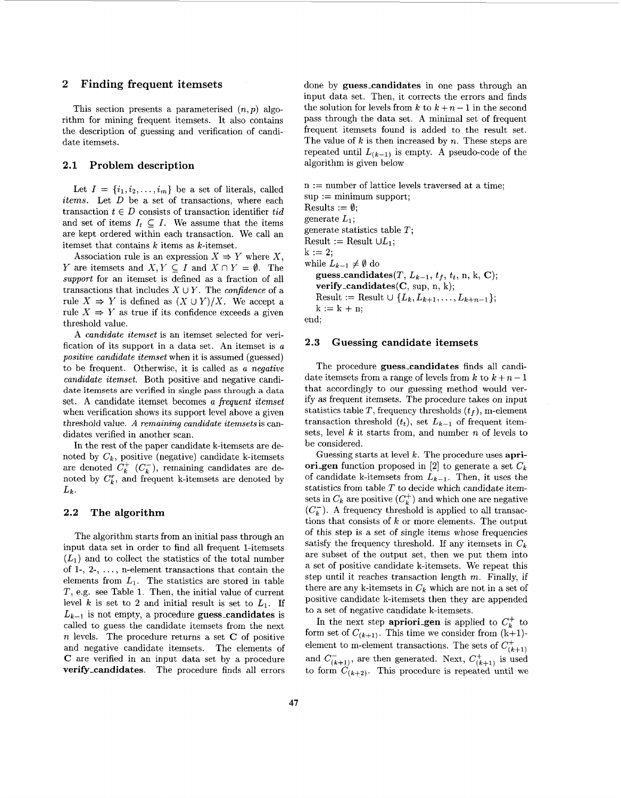#### **2 Finding frequent itemsets**

This section presents a parameterised *(n, p)* algorithm for mining frequent itemsets. It also contains the description of guessing and verification of candidate itemsets.

### **2.1 Problem description**

Let  $I = \{i_1, i_2, \ldots, i_m\}$  be a set of literals, called *items.* Let D be a set of transactions, where each transaction  $t \in D$  consists of transaction identifier *tid* and set of items  $I_t \subseteq I$ . We assume that the items are kept ordered within each transaction. We call an itemset that contains *k* items as k-itemset.

Association rule is an expression  $X \Rightarrow Y$  where X, *Y* are itemsets and  $X, Y \subseteq I$  and  $X \cap Y = \emptyset$ . The *support* for an itemset is defined as a fraction of all transactions that includes  $X \cup Y$ . The *confidence* of a rule  $X \Rightarrow Y$  is defined as  $(X \cup Y)/X$ . We accept a rule  $X \Rightarrow Y$  as true if its confidence exceeds a given threshold value.

**A** *candidate itemset* is an itemset selected for verification of its support in a data set. An itemset is *a positive candidate itemset* when it is assumed (guessed) to be frequent. Otherwise, it is called as *a negative candidate itemset.* Both positive and negative candidate itemsets are verified in single pass through a data set. **A** candidate itemset becomes a *frequent itemset*  when verification shows its support level above a given threshold value. *A remaining candidate itemsets* is candidates verified in another scan.

In the rest of the paper candidate k-itemsets are denoted by  $C_k$ , positive (negative) candidate k-itemsets are denoted  $C_k^+$   $(C_k^-)$ , remaining candidates are denoted by  $C_k^r$ , and frequent k-itemsets are denoted by  $L_k$ .

#### **2.2 The algorithm**

The algorithm starts from an initial pass through an input data set in order to find all frequent 1-itemsets  $(L_1)$  and to collect the statistics of the total number of 1-, **2-,** . . . , n-element transactions that contain the elements from  $L_1$ . The statistics are stored in table **T,** e.g. see Table 1. Then, the initial value of current level *k* is set to 2 and initial result is set to  $L_1$ . If  $L_{k-1}$  is not empty, a procedure **guess\_candidates** is called to guess the candidate itemsets from the next *n* levels. The procedure returns a set **C** of positive and negative candidate itemsets. The elements of **C** are verified in an input data set by a procedure **verify-candidates.** The procedure finds all errors done by **guess-candidates** in one pass through an input data set. Then, it corrects the errors and finds the solution for levels from  $k$  to  $k + n - 1$  in the second pass through the data set. A minimal set of frequent frequent itemsets found is added to the result set. The value of *k* is then increased by *n.* These steps are repeated until  $L_{(k-1)}$  is empty. A pseudo-code of the algorithm is given below

 $n := number of lattice levels traversed at a time;$  $sup := minimum support;$ Results :=  $\emptyset$ ; generate *L1;*  generate statistics table *T;*  Result := Result  $\cup L_1$ ;  $k := 2$ : while  $L_{k-1} \neq \emptyset$  do guess\_candidates $(T, L_{k-1}, t_f, t_t, n, k, C);$ **verify-candidates(C,** sup, n, k); Result := Result  $\cup \{L_k, L_{k+1}, \ldots, L_{k+n-1}\};$  $k := k + n$ : end;

#### **2.3 Guessing candidate itemsets**

The procedure **guess-candidates** finds all candidate itemsets from a range of levels from  $k$  to  $k + n - 1$ that accordingly to our guessing method would verify as frequent itemsets. The procedure takes on input statistics table *T,* frequency thresholds *(tp),* m-element transaction threshold  $(t_t)$ , set  $L_{k-1}$  of frequent itemsets, level *k* it starts from, and number *n* of levels to be considered.

Guessing starts at level *k.* The procedure uses **apriori-gen** function proposed in *[2]* to generate a set *Ck*  of candidate k-itemsets from  $L_{k-1}$ . Then, it uses the statistics from table *T* to decide which candidate itemsets in  $C_k$  are positive  $(C_k^+)$  and which one are negative  $(C_k^-)$ . A frequency threshold is applied to all transactions that consists of *k* or more elements. The output of this step is a set of single items whose frequencies satisfy the frequency threshold. If any itemsets in  $C_k$ are subset of the output set, then we put them into a set of positive candidate k-itemsets. We repeat this step until it reaches transaction length *m.* Finally, if there are any k-itemsets in  $C_k$  which are not in a set of positive candidate k-itemsets then they are appended to a set of negative candidate k-itemsets.

In the next step **apriorigen** is applied to  $C_k^+$  to form set of  $C_{(k+1)}$ . This time we consider from  $(k+1)$ element to m-element transactions. The sets of  $C_{(k+1)}^+$ and  $C_{(k+1)}^-$ , are then generated. Next,  $C_{(k+1)}^+$  is used to form  $C_{(k+2)}$ . This procedure is repeated until we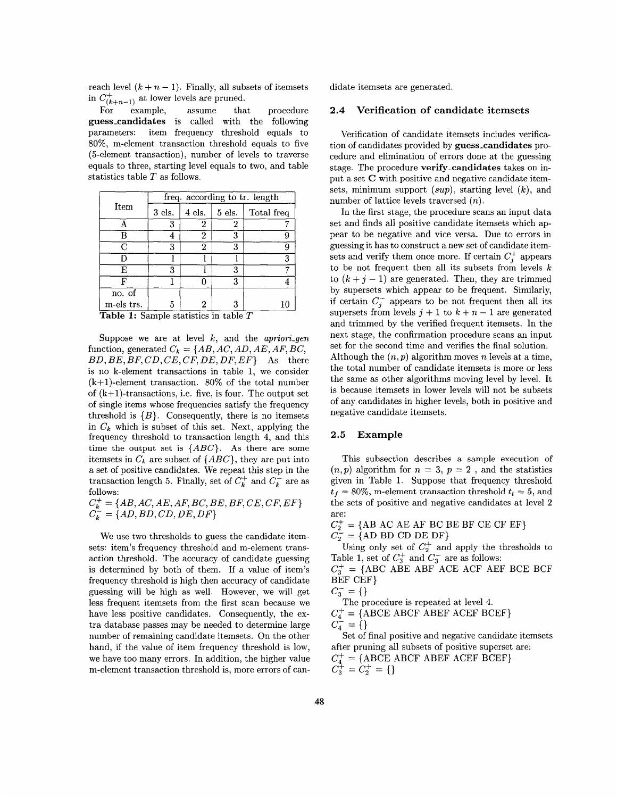reach level  $(k + n - 1)$ . Finally, all subsets of itemsets in  $C^+_{(k+n-1)}$  at lower levels are pruned.

For example, assume that procedure **guess-candidates** is called with the following parameters: item frequency threshold equals to SO%, m-element transaction threshold equals to five (5-element transaction), number of levels to traverse equals to three, starting level equals to two, and table statistics table *T* as follows.

|                                                | freq. according to tr. length |                                                                      |                                              |            |  |  |  |  |
|------------------------------------------------|-------------------------------|----------------------------------------------------------------------|----------------------------------------------|------------|--|--|--|--|
| Item                                           | $3$ els.                      | 4 els.                                                               | $5$ els.                                     | Total freq |  |  |  |  |
|                                                | 3                             | 2                                                                    | 2                                            |            |  |  |  |  |
| в                                              |                               | 2                                                                    | 3                                            |            |  |  |  |  |
| С                                              | 3                             | 2                                                                    | 3                                            | u          |  |  |  |  |
| D                                              |                               |                                                                      |                                              | 3          |  |  |  |  |
| Е                                              | 3                             |                                                                      | 3                                            |            |  |  |  |  |
| F                                              |                               |                                                                      | 3                                            |            |  |  |  |  |
| no. of                                         |                               |                                                                      |                                              |            |  |  |  |  |
| m-els trs.<br>$\overline{m}$ ii $\overline{a}$ | 5                             | 2<br>$\mathbf{1}$ and $\mathbf{1}$ and $\mathbf{1}$ and $\mathbf{1}$ | 3<br>$\cdot$ $\cdot$ $\cdot$ $\cdot$ $\cdot$ | 10<br>帀    |  |  |  |  |

**Table 1:** Sample statistics in table 7

Suppose we are at level *k,* and the *apriori-gen*  function, generated  $C_k = \{AB, AC, AD, AE, AF, BC,$ *BD, BE, BF, CD, CE, CF, DE, DF, EF*} As there is no k-element transactions in table 1, we consider  $(k+1)$ -element transaction. 80% of the total number of  $(k+1)$ -transactions, i.e. five, is four. The output set of single items whose frequencies satisfy the frequency threshold is  ${B}$ . Consequently, there is no itemsets in *Ck* which is subset of this set. Next, applying the frequency threshold to transaction length 4, and this time the output set is *{ABC}.* As there are some itemsets in  $C_k$  are subset of  $\{ABC\}$ , they are put into a set of positive candidates. We repeat this step in the transaction length 5. Finally, set of  $C_k^+$  and  $C_k^-$  are as follows:

 $C_k^+ = \{AB, AC, AE, AF, BC, BE, BF, CE, CF, EF\}$  $C_k^{\sim} = \{AD, BD, CD, DE, DF\}$ 

We use two thresholds to guess the candidate itemsets: item's frequency threshold and m-element transaction threshold. The accuracy of candidate guessing is determined by both of them. If a value of item's frequency threshold is high then accuracy of candidate guessing will be high as well. However, we will get less frequent itemsets from the first scan because we have less positive candidates. Consequently, the extra database passes may be needed to determine large number of remaining candidate itemsets. On the other hand, if the value of item frequency threshold is low, we have too many errors. In addition, the higher value m-element transaction threshold is, more errors of candidate itemsets are generated.

### **2.4 Verification of candidate itemsets**

Verification of candidate itemsets includes verification of candidates provided by guess\_candidates procedure and elimination of errors done at the guessing stage. The procedure **verify\_candidates** takes on input a set *C* with positive and negative candidate itemsets, minimum support *(sup)*, starting level *(k)*, and number of lattice levels traversed *(n).* 

In the first stage, the procedure scans an input data set and finds all positive candidate itemsets which appear to be negative and vice versa. Due to errors in guessing it has to construct a new set of candidate itemsets and verify them once more. If certain  $C_i^+$  appears to be not frequent then all its subsets from levels *k*  to  $(k + j - 1)$  are generated. Then, they are trimmed by supersets which appear to be frequent. Similarly, if certain  $C_i^-$  appears to be not frequent then all its supersets from levels  $j + 1$  to  $k + n - 1$  are generated and trimmed by the verified frequent itemsets. In the next stage, the confirmation procedure scans an input set for the second time and verifies the final solution. Although the *(n, p)* algorithm moves *n* levels at a time, the total number of candidate itemsets is more or less the same as other algorithms moving level by level. It is because itemsets in lower levels will not be subsets of any candidates in higher levels, both in positive and negative candidate itemsets.

#### **2.5 Example**

This subsection describes a sample execution of  $(n, p)$  algorithm for  $n = 3$ ,  $p = 2$ , and the statistics given in Table 1. Suppose that frequency threshold  $t_f = 80\%$ , m-element transaction threshold  $t_t = 5$ , and the sets of positive and negative candidates at level *2*  are:

 $C_2^+ = \{AB \ AC \ AE \ AF \ BC \ BE \ BF \ CE \ CF \ EF\}$  $C_2^{\perp} = \{AD\ BD\ CD\ DE\ DF\}$ 

Using only set of  $C_2^+$  and apply the thresholds to Table 1, set of  $C_3^+$  and  $C_3^-$  are as follows:

 $C_3^+ = \{ ABC \overline{A} \overline{B}E \overline{A} \overline{B}F \overline{A} \overline{C}E \overline{A} \overline{C}F \overline{A}EF \overline{B}CE \overline{B}CF \}$ BEF CEF}

$$
C_3^- = \{\}
$$

 $C_4^-$  =  $\{\}$ The procedure is repeated at level 4.  $C_4^+ = \{ \text{ABCE ABCF ABEF ACEF BCEF} \}$ 

Set of final positive and negative candidate itemsets

after pruning all subsets of positive superset are:  $C_4^+$  = {ABCE ABCF ABEF ACEF BCEF}  $C_3^+ = C_2^+ = \{\}$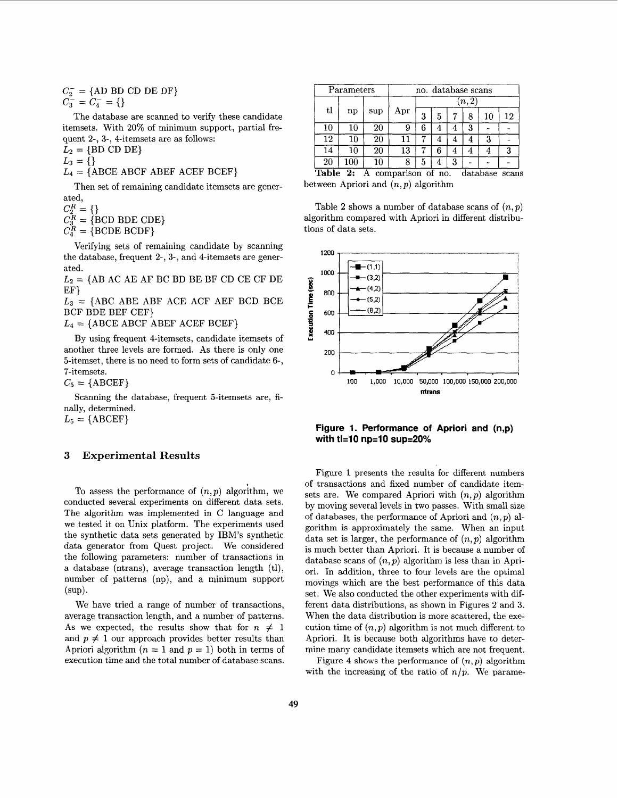$C_2^-$  = {AD BD CD DE DF}  $C_3^- = C_4^- = \{\}$ 

The database are scanned to verify these candidate itemsets. With 20% of minimum support, partial frequent 2-, 3-, 4-itemsets are as follows:

 $L_2 = \{BD \text{ CD DE}\}$  $L_3 = \{ \}$ 

 $L_4 = \{ \text{ABCDE ABCF} \text{ ABEF} \text{ ACEF} \text{ BCEF} \}$ 

Then set of remaining candidate itemsets are generated,

 $C_3^R = \{ BCD BDE CDE \}$  $C_2^R =$ 

 $C_4^R = \{ \text{BCDE BCDF} \}$ 

Verifying sets of remaining candidate by scanning the database, frequent 2-, 3-, and 4-itemsets are generated.

 $L_2 = \{AB \ AC \ AE \ AF \ BC \ BD \ BE \ BF \ CD \ CE \ CF \ DE$ EF}

 $L_3$  = {ABC ABE ABF ACE ACF AEF BCD BCE BCF BDE BEF CEF}

 $L_4 = \{ \text{ABCE ABCF ABEF ACEF BCEF} \}$ 

By using frequent 4-itemsets, candidate itemsets of another three levels are formed. As there is only one 5-itemset, there is no need to form sets of candidate **6-,**  7-itemsets.

 $C_5 = \{ \text{ABCEF} \}$ 

Scanning the database, frequent 5-itemsets are, finally, determined.

 $L_5 = \{ \text{ABCEF} \}$ 

### **3 Experimental Results**

To assess the performance of  $(n, p)$  algorithm, we conducted several experiments on different data sets. The algorithm was implemented in C language and we tested it on Unix platform. The experiments used the synthetic data sets generated by IBM's synthetic data generator from Quest project. We considered the following parameters: number of transactions in a database (ntrans), average transaction length (tl), number of patterns (np), and a minimum support (SUP).

We have tried a range of number of transactions, average transaction length, and a number of patterns. As we expected, the results show that for  $n \neq 1$ and  $p \neq 1$  our approach provides better results than Apriori algorithm  $(n = 1$  and  $p = 1)$  both in terms of execution time and the total number of database scans.

| Parameters |        | no. database scans |     |       |   |   |   |    |    |
|------------|--------|--------------------|-----|-------|---|---|---|----|----|
| tl         |        | sup                | Apr | [n,2] |   |   |   |    |    |
|            | np     |                    |     | 3     | 5 |   | 8 | 10 | 12 |
| 10         | $10\,$ | 20                 | 9   | 6     |   |   | 3 |    |    |
| 12         | 10     | 20                 |     |       | 4 | 4 |   | 3  |    |
| 14         | $10\,$ | $_{20}$            | 13  |       | 6 | 4 |   |    | 3  |
| $20\,$     | 100    | $10\,$             | 8   | 5     |   | 3 |   |    |    |

Table 2: A comparison of no. database scans between Apriori and *(n, p)* algorithm

Table **2** shows a number of database scans of *(n,p)*  algorithm compared with Apriori in different distributions of data sets.



**Figure 1. Performance of Apriori and (n,p)**  with tl=10 np=10 sup=20%

Figure **1** presents the results for different numbers of transactions and fixed number of candidate itemsets are. We compared Apriori with *(n,p)* algorithm by moving several levels in two passes. With small size of databases, the performance of Apriori and *(n,p)* algorithm is approximately the same. When an input data set is larger, the performance of  $(n, p)$  algorithm is much better than Apriori. It is because a number of database scans of *(n,p)* algorithm is less than in Apriori. In addition, three to four levels are the optimal movings which are the best performance of this data set. We also conducted the other experiments with different data distributions, as shown in [Figures 2](#page-7-0) and **3.**  When the data distribution is more scattered, the execution time of  $(n, p)$  algorithm is not much different to Apriori. It is because both algorithms have to determine many candidate itemsets which are not frequent.

[Figure 4](#page-8-0) shows the performance of  $(n, p)$  algorithm with the increasing of the ratio of  $n/p$ . We parame-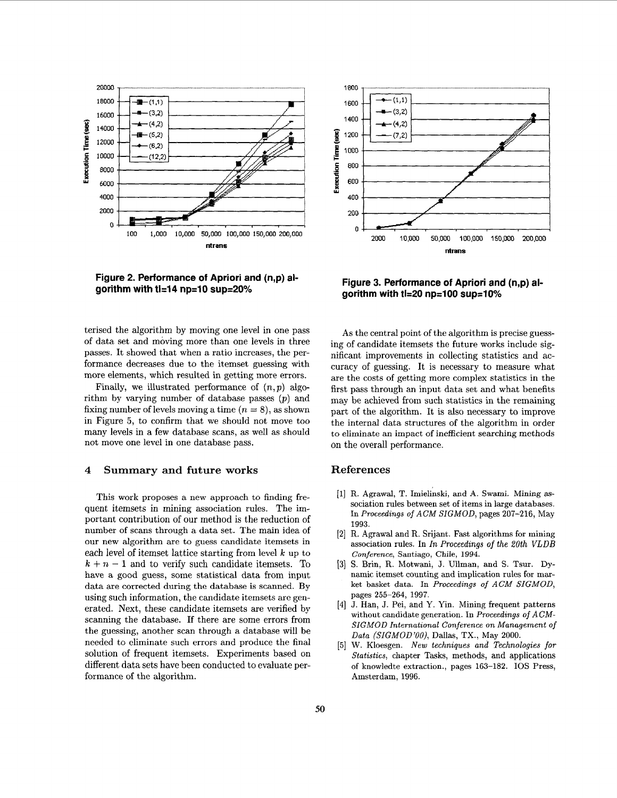<span id="page-7-0"></span>

**Figure 2. Performance of Apriori and (n,p) al**gorithm with ti=14 np=10 sup=20%



**Figure 3. Performance of Apriori and (n,p) al**gorithm with tl=20 np=100 sup=10%

terised the algorithm by moving one level in one pass of data set and moving more than one levels in three passes. It showed that when a ratio increases, the performance decreases due to the itemset guessing with more elements, which resulted in getting more errors.

Finally, we illustrated performance of  $(n, p)$  algorithm by varying number of database passes *(p)* and fixing number of levels moving a time  $(n = 8)$ , as shown in Figure *5,* to confirm that we should not move too many levels in a few database scans, as well as should not move one level in one database pass.

#### **4 Summary and future works**

This work proposes a new approach to finding frequent itemsets in mining association rules. The important contribution of our method is the reduction of number of scans through a data set. The main idea of our new algorithm are to guess candidate itemsets in each level of itemset lattice starting from level *k* up to  $k + n - 1$  and to verify such candidate itemsets. To have a good guess, some statistical data from input data are corrected during the database is scanned. By using such information, the candidate itemsets are generated. Next, these candidate itemsets are verified by scanning the database. If there are some errors from the guessing, another scan through a database will be needed to eliminate such errors and produce the final solution of frequent itemsets. Experiments based on different data sets have been conducted to evaluate performance of the algorithm.

As the central point of the algorithm is precise guessing of candidate itemsets the future works include significant improvements in collecting statistics and accuracy of guessing. It is necessary to measure what are the costs of getting more complex statistics in the first pass through an input data set and what benefits may be achieved from such statistics in the remaining part of the algorithm. It is also necessary to improve the internal data structures of the algorithm in order to eliminate an impact of inefficient searching methods on the overall performance.

## **References**

- R. Agrawal, **T.** Imielinski, and **A.** Swami. Mining **as**sociation rules between set of items in large databases. In *Proceedings of* ACM *SIGMOD,* pages **207-216,** May 1993.
- **R.** Agrawal and R. Srijant. Fast algorithms **for** mining association rules. In *In Proceedings* of *the 20th VLDB Conference,* Santiago, Chile, 1994.
- S. Brin, R. Motwani, J. Ullman, and S. Tsur. Dynamic itemset counting and implication rules for market basket data. In *Proceedings of ACM SIGMOD,*  pages **255-264, 1997.**
- [4] J. Han, J. Pei, and Y. Yin. Mining frequent patterns without candidate generation. In *Proceedings of ACM*-*SIGMOD International Conference on Management of Data (SIGMOD'OO),* Dallas, TX., May **2000.**
- W. Kloesgen. *New techniques and Technologies for Statistics,* chapter Tasks, methods, and applications of knowledte extraction., pages **163-182.** 10s Press, Amsterdam, **1996.**